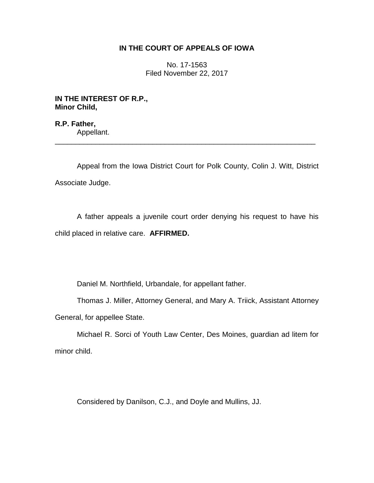## **IN THE COURT OF APPEALS OF IOWA**

No. 17-1563 Filed November 22, 2017

**IN THE INTEREST OF R.P., Minor Child,**

**R.P. Father,** Appellant. \_\_\_\_\_\_\_\_\_\_\_\_\_\_\_\_\_\_\_\_\_\_\_\_\_\_\_\_\_\_\_\_\_\_\_\_\_\_\_\_\_\_\_\_\_\_\_\_\_\_\_\_\_\_\_\_\_\_\_\_\_\_\_\_

Appeal from the Iowa District Court for Polk County, Colin J. Witt, District Associate Judge.

A father appeals a juvenile court order denying his request to have his child placed in relative care. **AFFIRMED.**

Daniel M. Northfield, Urbandale, for appellant father.

Thomas J. Miller, Attorney General, and Mary A. Triick, Assistant Attorney General, for appellee State.

Michael R. Sorci of Youth Law Center, Des Moines, guardian ad litem for minor child.

Considered by Danilson, C.J., and Doyle and Mullins, JJ.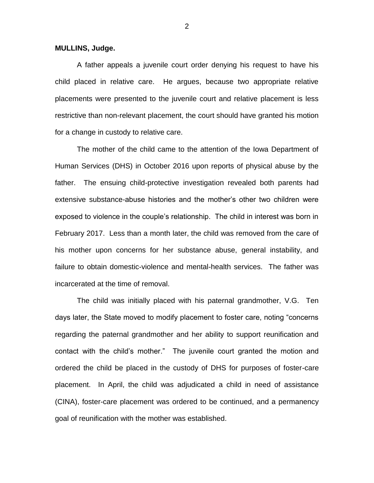## **MULLINS, Judge.**

A father appeals a juvenile court order denying his request to have his child placed in relative care. He argues, because two appropriate relative placements were presented to the juvenile court and relative placement is less restrictive than non-relevant placement, the court should have granted his motion for a change in custody to relative care.

The mother of the child came to the attention of the Iowa Department of Human Services (DHS) in October 2016 upon reports of physical abuse by the father. The ensuing child-protective investigation revealed both parents had extensive substance-abuse histories and the mother's other two children were exposed to violence in the couple's relationship. The child in interest was born in February 2017. Less than a month later, the child was removed from the care of his mother upon concerns for her substance abuse, general instability, and failure to obtain domestic-violence and mental-health services. The father was incarcerated at the time of removal.

The child was initially placed with his paternal grandmother, V.G. Ten days later, the State moved to modify placement to foster care, noting "concerns regarding the paternal grandmother and her ability to support reunification and contact with the child's mother." The juvenile court granted the motion and ordered the child be placed in the custody of DHS for purposes of foster-care placement. In April, the child was adjudicated a child in need of assistance (CINA), foster-care placement was ordered to be continued, and a permanency goal of reunification with the mother was established.

2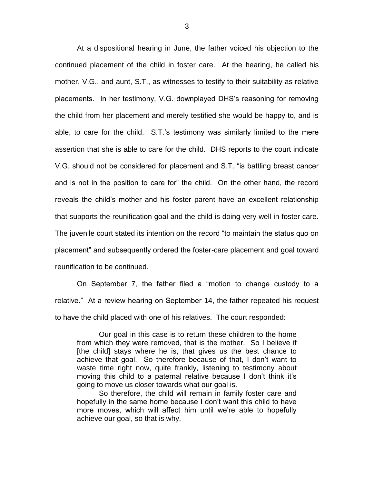At a dispositional hearing in June, the father voiced his objection to the continued placement of the child in foster care. At the hearing, he called his mother, V.G., and aunt, S.T., as witnesses to testify to their suitability as relative placements. In her testimony, V.G. downplayed DHS's reasoning for removing the child from her placement and merely testified she would be happy to, and is able, to care for the child. S.T.'s testimony was similarly limited to the mere assertion that she is able to care for the child. DHS reports to the court indicate V.G. should not be considered for placement and S.T. "is battling breast cancer and is not in the position to care for" the child. On the other hand, the record reveals the child's mother and his foster parent have an excellent relationship that supports the reunification goal and the child is doing very well in foster care. The juvenile court stated its intention on the record "to maintain the status quo on placement" and subsequently ordered the foster-care placement and goal toward reunification to be continued.

On September 7, the father filed a "motion to change custody to a relative." At a review hearing on September 14, the father repeated his request to have the child placed with one of his relatives. The court responded:

Our goal in this case is to return these children to the home from which they were removed, that is the mother. So I believe if [the child] stays where he is, that gives us the best chance to achieve that goal. So therefore because of that, I don't want to waste time right now, quite frankly, listening to testimony about moving this child to a paternal relative because I don't think it's going to move us closer towards what our goal is.

So therefore, the child will remain in family foster care and hopefully in the same home because I don't want this child to have more moves, which will affect him until we're able to hopefully achieve our goal, so that is why.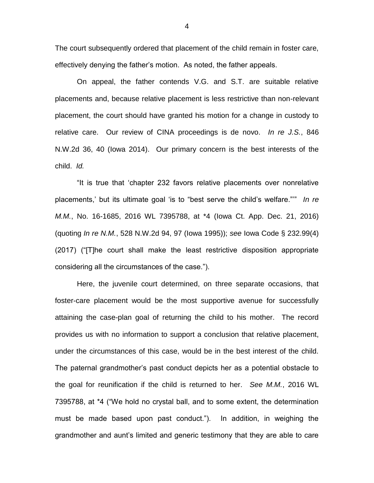The court subsequently ordered that placement of the child remain in foster care, effectively denying the father's motion. As noted, the father appeals.

On appeal, the father contends V.G. and S.T. are suitable relative placements and, because relative placement is less restrictive than non-relevant placement, the court should have granted his motion for a change in custody to relative care. Our review of CINA proceedings is de novo. *In re J.S.*, 846 N.W.2d 36, 40 (Iowa 2014). Our primary concern is the best interests of the child. *Id.*

"It is true that 'chapter 232 favors relative placements over nonrelative placements,' but its ultimate goal 'is to "best serve the child's welfare."'" *In re M.M.*, No. 16-1685, 2016 WL 7395788, at \*4 (Iowa Ct. App. Dec. 21, 2016) (quoting *In re N.M.*, 528 N.W.2d 94, 97 (Iowa 1995)); *see* Iowa Code § 232.99(4) (2017) ("[T]he court shall make the least restrictive disposition appropriate considering all the circumstances of the case.").

Here, the juvenile court determined, on three separate occasions, that foster-care placement would be the most supportive avenue for successfully attaining the case-plan goal of returning the child to his mother. The record provides us with no information to support a conclusion that relative placement, under the circumstances of this case, would be in the best interest of the child. The paternal grandmother's past conduct depicts her as a potential obstacle to the goal for reunification if the child is returned to her. *See M.M.*, 2016 WL 7395788, at \*4 ("We hold no crystal ball, and to some extent, the determination must be made based upon past conduct."). In addition, in weighing the grandmother and aunt's limited and generic testimony that they are able to care

4